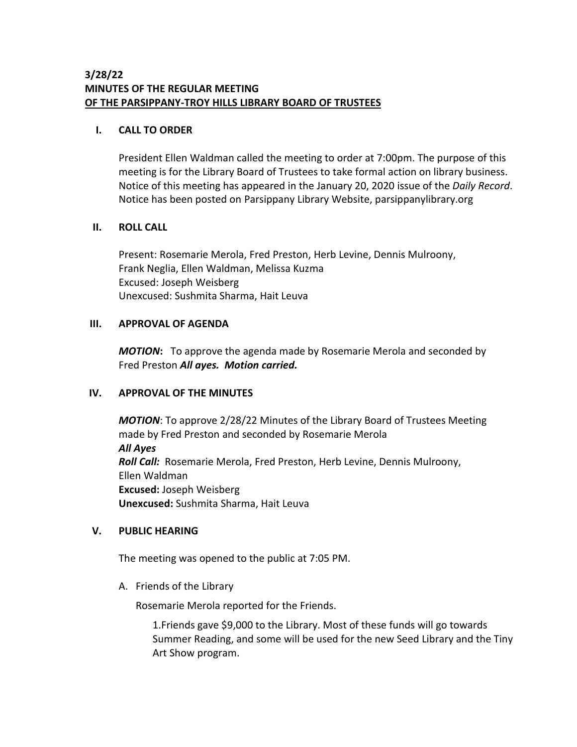# **3/28/22 MINUTES OF THE REGULAR MEETING OF THE PARSIPPANY-TROY HILLS LIBRARY BOARD OF TRUSTEES**

## **I. CALL TO ORDER**

President Ellen Waldman called the meeting to order at 7:00pm. The purpose of this meeting is for the Library Board of Trustees to take formal action on library business. Notice of this meeting has appeared in the January 20, 2020 issue of the *Daily Record*. Notice has been posted on Parsippany Library Website, parsippanylibrary.org

# **II. ROLL CALL**

Present: Rosemarie Merola, Fred Preston, Herb Levine, Dennis Mulroony, Frank Neglia, Ellen Waldman, Melissa Kuzma Excused: Joseph Weisberg Unexcused: Sushmita Sharma, Hait Leuva

# **III. APPROVAL OF AGENDA**

*MOTION***:** To approve the agenda made by Rosemarie Merola and seconded by Fred Preston *All ayes. Motion carried.*

# **IV. APPROVAL OF THE MINUTES**

*MOTION*: To approve 2/28/22 Minutes of the Library Board of Trustees Meeting made by Fred Preston and seconded by Rosemarie Merola *All Ayes Roll Call:* Rosemarie Merola, Fred Preston, Herb Levine, Dennis Mulroony, Ellen Waldman **Excused:** Joseph Weisberg **Unexcused:** Sushmita Sharma, Hait Leuva

# **V. PUBLIC HEARING**

The meeting was opened to the public at 7:05 PM.

A. Friends of the Library

Rosemarie Merola reported for the Friends.

1.Friends gave \$9,000 to the Library. Most of these funds will go towards Summer Reading, and some will be used for the new Seed Library and the Tiny Art Show program.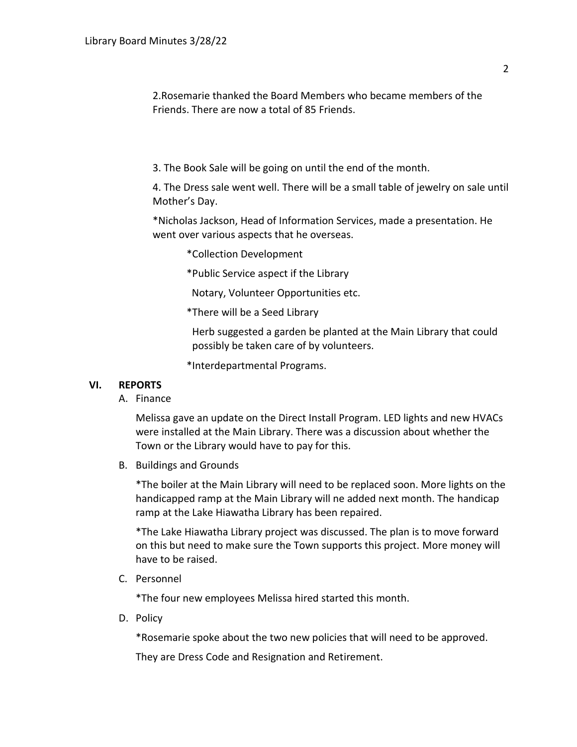2.Rosemarie thanked the Board Members who became members of the Friends. There are now a total of 85 Friends.

3. The Book Sale will be going on until the end of the month.

4. The Dress sale went well. There will be a small table of jewelry on sale until Mother's Day.

\*Nicholas Jackson, Head of Information Services, made a presentation. He went over various aspects that he overseas.

- \*Collection Development
- \*Public Service aspect if the Library

Notary, Volunteer Opportunities etc.

\*There will be a Seed Library

Herb suggested a garden be planted at the Main Library that could possibly be taken care of by volunteers.

\*Interdepartmental Programs.

#### **VI. REPORTS**

A. Finance

Melissa gave an update on the Direct Install Program. LED lights and new HVACs were installed at the Main Library. There was a discussion about whether the Town or the Library would have to pay for this.

B. Buildings and Grounds

\*The boiler at the Main Library will need to be replaced soon. More lights on the handicapped ramp at the Main Library will ne added next month. The handicap ramp at the Lake Hiawatha Library has been repaired.

\*The Lake Hiawatha Library project was discussed. The plan is to move forward on this but need to make sure the Town supports this project. More money will have to be raised.

C. Personnel

\*The four new employees Melissa hired started this month.

D. Policy

\*Rosemarie spoke about the two new policies that will need to be approved.

They are Dress Code and Resignation and Retirement.